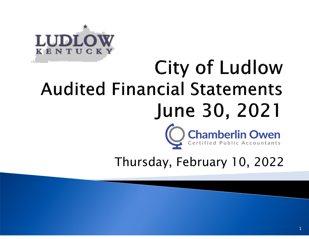

# City of Ludlow **Audited Financial Statements** June 30, 2021



Thursday, February 10, 2022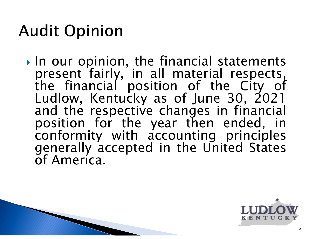### **Audit Opinion**

 $\triangleright$  In our opinion, the financial statements present fairly, in all material respects, the financial position of the City of Ludlow, Kentucky as of June 30, 2021 and the respective changes in financial position for the year then ended, in conformity with accounting principles generally accepted in the United States of America.

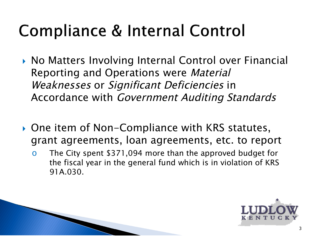### Compliance & Internal Control

- ▶ No Matters Involving Internal Control over Financial Reporting and Operations were Material Weaknesses or Significant Deficiencies in Accordance with Government Auditing Standards
- ▶ One item of Non-Compliance with KRS statutes, grant agreements, loan agreements, etc. to report
	- o The City spent \$371,094 more than the approved budget for the fiscal year in the general fund which is in violation of KRS 91A.030.

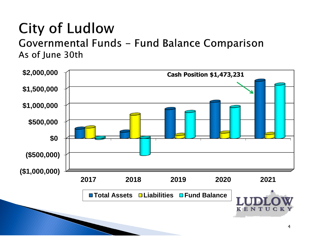## **City of Ludlow**

Governmental Funds - Fund Balance Comparison As of June 30th

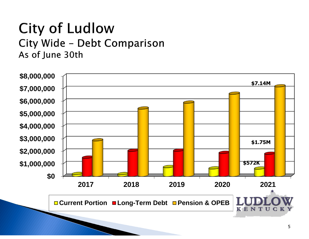#### **City of Ludlow** City Wide - Debt Comparison As of June 30th

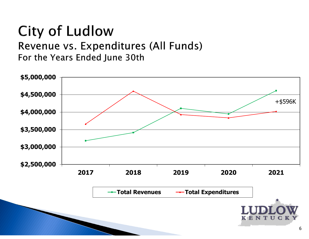### **City of Ludlow**

Revenue vs. Expenditures (All Funds) For the Years Ended June 30th

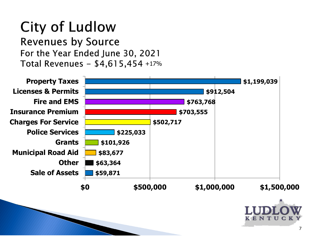#### **City of Ludlow Revenues by Source** For the Year Ended June 30, 2021 Total Revenues -  $$4,615,454$  +17%

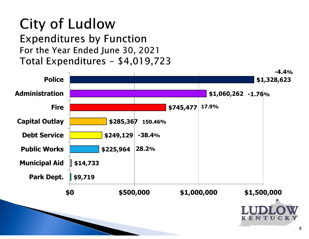#### **City of Ludlow Expenditures by Function** For the Year Ended June 30, 2021 Total Expenditures - \$4,019,723